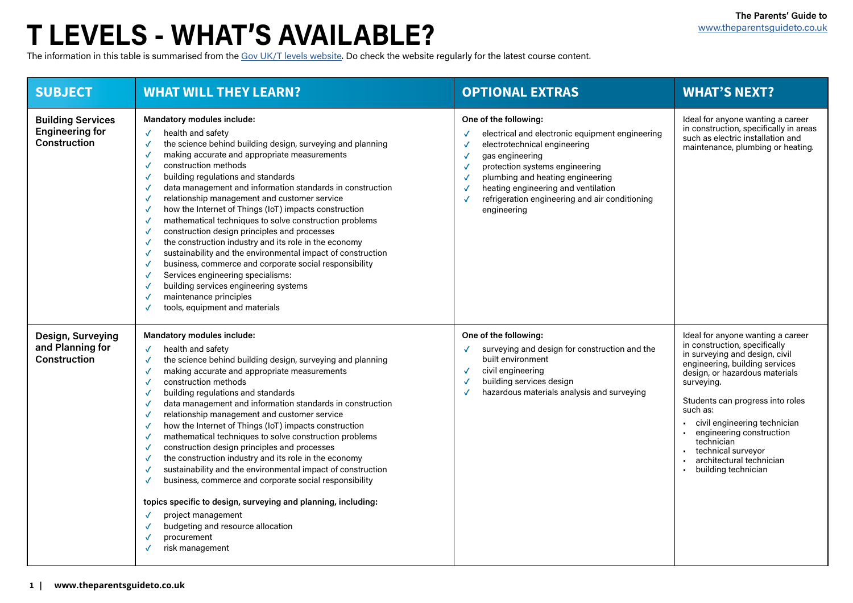| <b>SUBJECT</b>                                                            | <b>WHAT WILL THEY LEARN?</b>                                                                                                                                                                                                                                                                                                                                                                                                                                                                                                                                                                                                                                                                                                                                                                                                                                       | <b>OPTIONAL EXTRAS</b>                                                                                                                                                                                                                                                                                    | <b>WHAT'S NEXT?</b>                                                                                                                                                                                                                                                                                                                 |
|---------------------------------------------------------------------------|--------------------------------------------------------------------------------------------------------------------------------------------------------------------------------------------------------------------------------------------------------------------------------------------------------------------------------------------------------------------------------------------------------------------------------------------------------------------------------------------------------------------------------------------------------------------------------------------------------------------------------------------------------------------------------------------------------------------------------------------------------------------------------------------------------------------------------------------------------------------|-----------------------------------------------------------------------------------------------------------------------------------------------------------------------------------------------------------------------------------------------------------------------------------------------------------|-------------------------------------------------------------------------------------------------------------------------------------------------------------------------------------------------------------------------------------------------------------------------------------------------------------------------------------|
| <b>Building Services</b><br><b>Engineering for</b><br><b>Construction</b> | <b>Mandatory modules include:</b><br>health and safety<br>the science behind building design, surveying and planning<br>making accurate and appropriate measurements<br>construction methods<br>building regulations and standards<br>data management and information standards in construction<br>relationship management and customer service<br>how the Internet of Things (IoT) impacts construction<br>mathematical techniques to solve construction problems<br>construction design principles and processes<br>the construction industry and its role in the economy<br>sustainability and the environmental impact of construction<br>business, commerce and corporate social responsibility<br>$\checkmark$<br>Services engineering specialisms:<br>building services engineering systems<br>maintenance principles<br>tools, equipment and materials     | One of the following:<br>electrical and electronic equipment engineering<br>electrotechnical engineering<br>gas engineering<br>protection systems engineering<br>plumbing and heating engineering<br>heating engineering and ventilation<br>refrigeration engineering and air conditioning<br>engineering | Ideal for anyone wanting<br>in construction, specifica<br>such as electric installat<br>maintenance, plumbing                                                                                                                                                                                                                       |
| <b>Design, Surveying</b><br>and Planning for<br><b>Construction</b>       | <b>Mandatory modules include:</b><br>health and safety<br>the science behind building design, surveying and planning<br>making accurate and appropriate measurements<br>construction methods<br>building regulations and standards<br>data management and information standards in construction<br>relationship management and customer service<br>how the Internet of Things (IoT) impacts construction<br>mathematical techniques to solve construction problems<br>construction design principles and processes<br>the construction industry and its role in the economy<br>sustainability and the environmental impact of construction<br>business, commerce and corporate social responsibility<br>topics specific to design, surveying and planning, including:<br>project management<br>budgeting and resource allocation<br>procurement<br>risk management | One of the following:<br>surveying and design for construction and the<br>built environment<br>civil engineering<br>building services design<br>hazardous materials analysis and surveying                                                                                                                | Ideal for anyone wanting<br>in construction, specifica<br>in surveying and design<br>engineering, building se<br>design, or hazardous ma<br>surveying.<br>Students can progress i<br>such as:<br>civil engineering tech<br>engineering construd<br>technician<br>technical surveyor<br>architectural technic<br>building technician |

|       | <b>WHAT'S NEXT?</b>                                                                                                                                                                             |
|-------|-------------------------------------------------------------------------------------------------------------------------------------------------------------------------------------------------|
| ering | Ideal for anyone wanting a career<br>in construction, specifically in areas<br>such as electric installation and<br>maintenance, plumbing or heating.                                           |
| ng    |                                                                                                                                                                                                 |
|       |                                                                                                                                                                                                 |
| the   | Ideal for anyone wanting a career<br>in construction, specifically<br>in surveying and design, civil<br>engineering, building services<br>design, or hazardous materials<br>surveying.          |
|       | Students can progress into roles<br>such as:<br>civil engineering technician<br>engineering construction<br>technician<br>technical surveyor<br>architectural technician<br>building technician |
|       |                                                                                                                                                                                                 |

# **T LEVELS - WHAT'S AVAILABLE?**

The information in this table is summarised from the [Gov UK/T levels website.](https://www.tlevels.gov.uk/students/subjects) Do check the website regularly for the latest course content.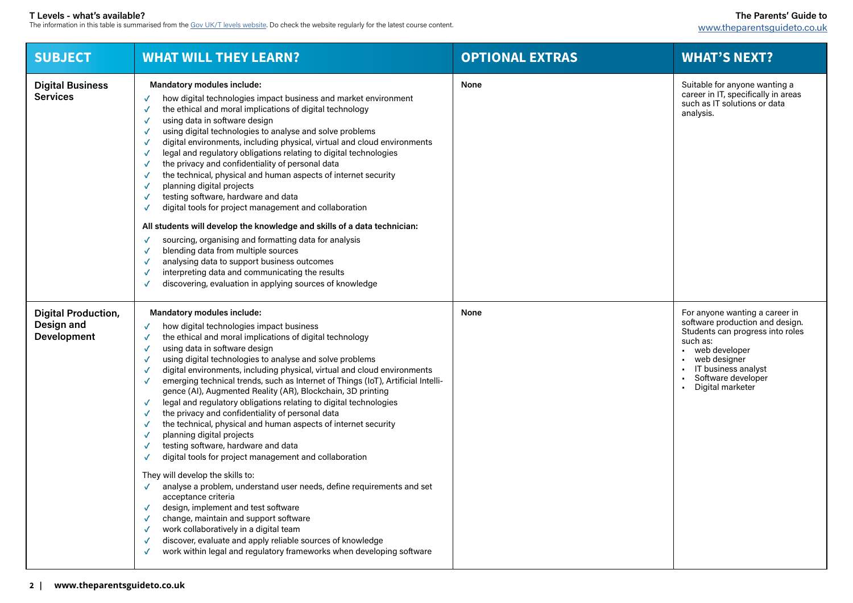## **WHAT'S NEXT?**

## **T Levels - what's available?**

The information in this table is summarised from the [Gov UK/T levels website.](https://www.tlevels.gov.uk/students/subjects) Do check the website regularly for the latest course content.

| <b>SUBJECT</b>                                                 | <b>WHAT WILL THEY LEARN?</b>                                                                                                                                                                                                                                                                                                                                                                                                                                                                                                                                                                                                                                                                                                                                                                                                                                                                                                                                                                                                                                                                                                                                                                                                                | <b>OPTIONAL EXTRAS</b> | <b>WHAT'S NEXT?</b>                                                                                                                                                                                               |
|----------------------------------------------------------------|---------------------------------------------------------------------------------------------------------------------------------------------------------------------------------------------------------------------------------------------------------------------------------------------------------------------------------------------------------------------------------------------------------------------------------------------------------------------------------------------------------------------------------------------------------------------------------------------------------------------------------------------------------------------------------------------------------------------------------------------------------------------------------------------------------------------------------------------------------------------------------------------------------------------------------------------------------------------------------------------------------------------------------------------------------------------------------------------------------------------------------------------------------------------------------------------------------------------------------------------|------------------------|-------------------------------------------------------------------------------------------------------------------------------------------------------------------------------------------------------------------|
| <b>Digital Business</b><br><b>Services</b>                     | <b>Mandatory modules include:</b><br>how digital technologies impact business and market environment<br>the ethical and moral implications of digital technology<br>using data in software design<br>using digital technologies to analyse and solve problems<br>digital environments, including physical, virtual and cloud environments<br>$\sqrt{2}$<br>legal and regulatory obligations relating to digital technologies<br>the privacy and confidentiality of personal data<br>the technical, physical and human aspects of internet security<br>planning digital projects<br>testing software, hardware and data<br>digital tools for project management and collaboration<br>All students will develop the knowledge and skills of a data technician:<br>sourcing, organising and formatting data for analysis<br>blending data from multiple sources<br>analysing data to support business outcomes<br>interpreting data and communicating the results<br>discovering, evaluation in applying sources of knowledge                                                                                                                                                                                                                  | <b>None</b>            | Suitable for anyone wanting a<br>career in IT, specifically in areas<br>such as IT solutions or data<br>analysis.                                                                                                 |
| <b>Digital Production,</b><br>Design and<br><b>Development</b> | <b>Mandatory modules include:</b><br>how digital technologies impact business<br>the ethical and moral implications of digital technology<br>using data in software design<br>using digital technologies to analyse and solve problems<br>digital environments, including physical, virtual and cloud environments<br>emerging technical trends, such as Internet of Things (IoT), Artificial Intelli-<br>gence (AI), Augmented Reality (AR), Blockchain, 3D printing<br>legal and regulatory obligations relating to digital technologies<br>$\sqrt{2}$<br>the privacy and confidentiality of personal data<br>the technical, physical and human aspects of internet security<br>planning digital projects<br>testing software, hardware and data<br>digital tools for project management and collaboration<br>They will develop the skills to:<br>analyse a problem, understand user needs, define requirements and set<br>acceptance criteria<br>design, implement and test software<br>$\sqrt{}$<br>change, maintain and support software<br>work collaboratively in a digital team<br>discover, evaluate and apply reliable sources of knowledge<br>$\sqrt{2}$<br>work within legal and regulatory frameworks when developing software | <b>None</b>            | For anyone wanting a career in<br>software production and design<br>Students can progress into role<br>such as:<br>web developer<br>web designer<br>IT business analyst<br>Software developer<br>Digital marketer |

- web developer
- web designer
- IT business analyst
- Software developer
- Digital marketer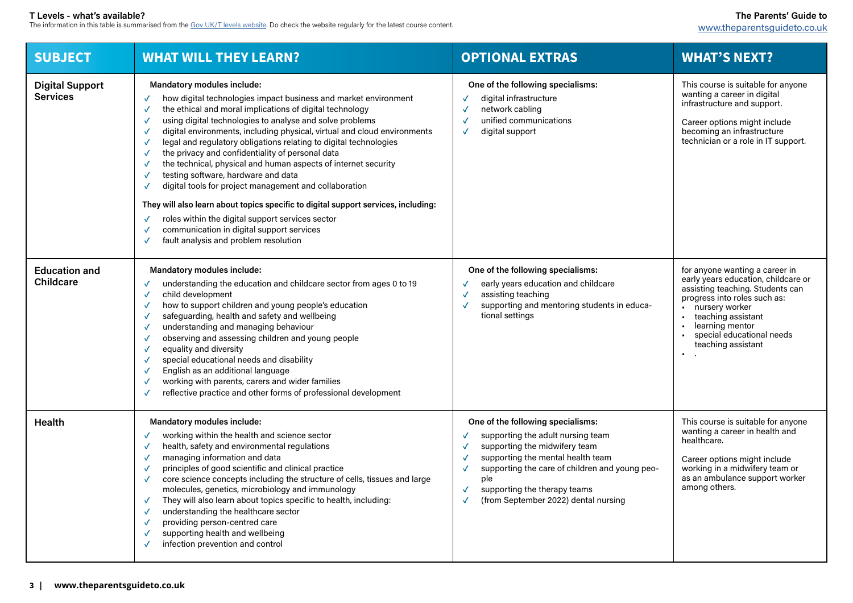## **The Parents' Guide to**  [www.theparentsguideto.co.uk](http://www.theparentsguideto.co.uk)

### **T Levels - what's available?**

The information in this table is summarised from the  $\rm{Gov}$  UK/T levels website. Do check the website regularly for the latest course content.

| <b>SUBJECT</b>                            | <b>WHAT WILL THEY LEARN?</b>                                                                                                                                                                                                                                                                                                                                                                                                                                                                                                                                                                                                                                                                                                                                                                                                         | <b>OPTIONAL EXTRAS</b>                                                                                                                                                                                                                                                        | <b>WHAT'S NEXT?</b>                                                                                                                                                                                                                                               |
|-------------------------------------------|--------------------------------------------------------------------------------------------------------------------------------------------------------------------------------------------------------------------------------------------------------------------------------------------------------------------------------------------------------------------------------------------------------------------------------------------------------------------------------------------------------------------------------------------------------------------------------------------------------------------------------------------------------------------------------------------------------------------------------------------------------------------------------------------------------------------------------------|-------------------------------------------------------------------------------------------------------------------------------------------------------------------------------------------------------------------------------------------------------------------------------|-------------------------------------------------------------------------------------------------------------------------------------------------------------------------------------------------------------------------------------------------------------------|
| <b>Digital Support</b><br><b>Services</b> | <b>Mandatory modules include:</b><br>how digital technologies impact business and market environment<br>the ethical and moral implications of digital technology<br>using digital technologies to analyse and solve problems<br>digital environments, including physical, virtual and cloud environments<br>legal and regulatory obligations relating to digital technologies<br>the privacy and confidentiality of personal data<br>the technical, physical and human aspects of internet security<br>testing software, hardware and data<br>digital tools for project management and collaboration<br>They will also learn about topics specific to digital support services, including:<br>roles within the digital support services sector<br>communication in digital support services<br>fault analysis and problem resolution | One of the following specialisms:<br>digital infrastructure<br>network cabling<br>unified communications<br>digital support<br>$\checkmark$                                                                                                                                   | This course is suitable for anyone<br>wanting a career in digital<br>infrastructure and support.<br>Career options might include<br>becoming an infrastructure<br>technician or a role in IT support.                                                             |
| <b>Education and</b><br><b>Childcare</b>  | <b>Mandatory modules include:</b><br>understanding the education and childcare sector from ages 0 to 19<br>child development<br>how to support children and young people's education<br>safeguarding, health and safety and wellbeing<br>understanding and managing behaviour<br>observing and assessing children and young people<br>equality and diversity<br>special educational needs and disability<br>English as an additional language<br>working with parents, carers and wider families<br>reflective practice and other forms of professional development                                                                                                                                                                                                                                                                  | One of the following specialisms:<br>early years education and childcare<br>assisting teaching<br>supporting and mentoring students in educa-<br>tional settings                                                                                                              | for anyone wanting a career in<br>early years education, childcare or<br>assisting teaching. Students can<br>progress into roles such as:<br>nursery worker<br>teaching assistant<br>learning mentor<br>special educational needs<br>teaching assistant<br>$\sim$ |
| <b>Health</b>                             | <b>Mandatory modules include:</b><br>working within the health and science sector<br>health, safety and environmental regulations<br>managing information and data<br>principles of good scientific and clinical practice<br>core science concepts including the structure of cells, tissues and large<br>$\sqrt{ }$<br>molecules, genetics, microbiology and immunology<br>They will also learn about topics specific to health, including:<br>$\sqrt{ }$<br>understanding the healthcare sector<br>providing person-centred care<br>supporting health and wellbeing<br>infection prevention and control                                                                                                                                                                                                                            | One of the following specialisms:<br>supporting the adult nursing team<br>supporting the midwifery team<br>supporting the mental health team<br>supporting the care of children and young peo-<br>ple<br>supporting the therapy teams<br>(from September 2022) dental nursing | This course is suitable for anyone<br>wanting a career in health and<br>healthcare.<br>Career options might include<br>working in a midwifery team or<br>as an ambulance support worker<br>among others.                                                          |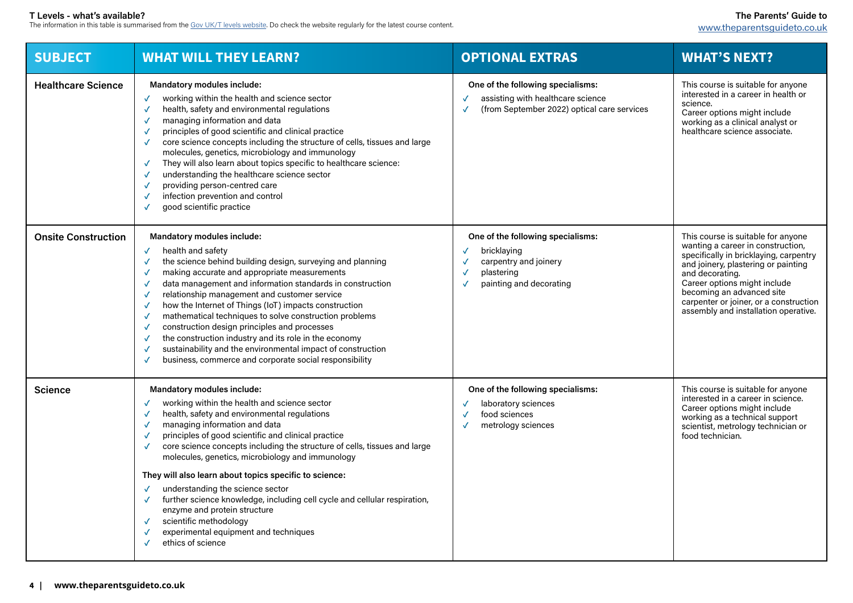**The Parents' Guide to**  [www.theparentsguideto.co.uk](http://www.theparentsguideto.co.uk)

### **T Levels - what's available?**

The information in this table is summarised from the  $\rm{Gov}$  UK/T levels website. Do check the website regularly for the latest course content.

| <b>SUBJECT</b>             | <b>WHAT WILL THEY LEARN?</b>                                                                                                                                                                                                                                                                                                                                                                                                                                                                                                                                                                                                                                                                | <b>OPTIONAL EXTRAS</b>                                                                                                | <b>WHAT'S NEXT?</b>                                                                                                                                                                                                                                |
|----------------------------|---------------------------------------------------------------------------------------------------------------------------------------------------------------------------------------------------------------------------------------------------------------------------------------------------------------------------------------------------------------------------------------------------------------------------------------------------------------------------------------------------------------------------------------------------------------------------------------------------------------------------------------------------------------------------------------------|-----------------------------------------------------------------------------------------------------------------------|----------------------------------------------------------------------------------------------------------------------------------------------------------------------------------------------------------------------------------------------------|
| <b>Healthcare Science</b>  | <b>Mandatory modules include:</b><br>working within the health and science sector<br>health, safety and environmental regulations<br>managing information and data<br>principles of good scientific and clinical practice<br>core science concepts including the structure of cells, tissues and large<br>molecules, genetics, microbiology and immunology<br>They will also learn about topics specific to healthcare science:<br>understanding the healthcare science sector<br>providing person-centred care<br>infection prevention and control<br>good scientific practice                                                                                                             | One of the following specialisms:<br>assisting with healthcare science<br>(from September 2022) optical care services | This course is suitable fo<br>interested in a career in<br>science.<br>Career options might ind<br>working as a clinical ana<br>healthcare science asso                                                                                            |
| <b>Onsite Construction</b> | <b>Mandatory modules include:</b><br>health and safety<br>$\checkmark$<br>the science behind building design, surveying and planning<br>making accurate and appropriate measurements<br>data management and information standards in construction<br>N<br>relationship management and customer service<br>$\sqrt{2}$<br>how the Internet of Things (IoT) impacts construction<br>mathematical techniques to solve construction problems<br>construction design principles and processes<br>the construction industry and its role in the economy<br>sustainability and the environmental impact of construction<br>business, commerce and corporate social responsibility                   | One of the following specialisms:<br>bricklaying<br>carpentry and joinery<br>plastering<br>painting and decorating    | This course is suitable fo<br>wanting a career in cons<br>specifically in bricklaying<br>and joinery, plastering o<br>and decorating.<br>Career options might ine<br>becoming an advanced<br>carpenter or joiner, or a<br>assembly and installatio |
| <b>Science</b>             | <b>Mandatory modules include:</b><br>working within the health and science sector<br>health, safety and environmental regulations<br>managing information and data<br>principles of good scientific and clinical practice<br>core science concepts including the structure of cells, tissues and large<br>molecules, genetics, microbiology and immunology<br>They will also learn about topics specific to science:<br>understanding the science sector<br>further science knowledge, including cell cycle and cellular respiration,<br>$\sqrt{ }$<br>enzyme and protein structure<br>scientific methodology<br>$\checkmark$<br>experimental equipment and techniques<br>ethics of science | One of the following specialisms:<br>laboratory sciences<br>food sciences<br>metrology sciences                       | This course is suitable fo<br>interested in a career in<br>Career options might ine<br>working as a technical s<br>scientist, metrology tech<br>food technician.                                                                                   |

|   | <b>WHAT'S NEXT?</b>                                                                                                                                                                                                                                                                                                        |
|---|----------------------------------------------------------------------------------------------------------------------------------------------------------------------------------------------------------------------------------------------------------------------------------------------------------------------------|
| s | This course is suitable for anyone<br>interested in a career in health or<br>science.<br>Career options might include<br>working as a clinical analyst or<br>healthcare science associate.                                                                                                                                 |
|   | This course is suitable for anyone<br>wanting a career in construction,<br>specifically in bricklaying, carpentry<br>and joinery, plastering or painting<br>and decorating.<br>Career options might include<br>becoming an advanced site<br>carpenter or joiner, or a construction<br>assembly and installation operative. |
|   | This course is suitable for anyone<br>interested in a career in science.<br>Career options might include<br>working as a technical support<br>scientist, metrology technician or<br>food technician.                                                                                                                       |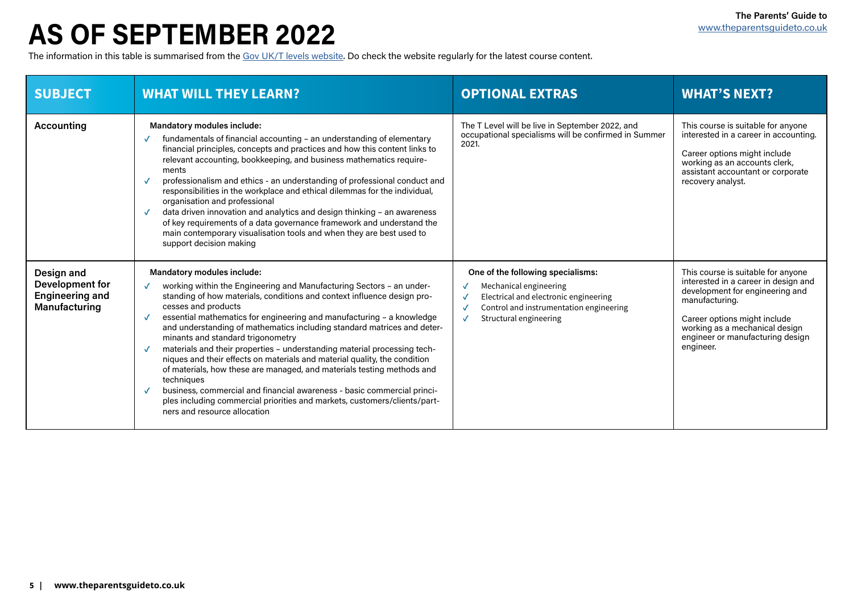## **AS OF SEPTEMBER 2022**

The information in this table is summarised from the [Gov UK/T levels website](https://www.tlevels.gov.uk/students/subjects). Do check the website regularly for the latest course content.

| <b>SUBJECT</b>                                                           | <b>WHAT WILL THEY LEARN?</b>                                                                                                                                                                                                                                                                                                                                                                                                                                                                                                                                                                                                                                                                                                                                                                                                                                                  | <b>OPTIONAL EXTRAS</b>                                                                                                                                                                    | <b>WHAT'S NEXT?</b>                                                                                                                                                                               |
|--------------------------------------------------------------------------|-------------------------------------------------------------------------------------------------------------------------------------------------------------------------------------------------------------------------------------------------------------------------------------------------------------------------------------------------------------------------------------------------------------------------------------------------------------------------------------------------------------------------------------------------------------------------------------------------------------------------------------------------------------------------------------------------------------------------------------------------------------------------------------------------------------------------------------------------------------------------------|-------------------------------------------------------------------------------------------------------------------------------------------------------------------------------------------|---------------------------------------------------------------------------------------------------------------------------------------------------------------------------------------------------|
| <b>Accounting</b>                                                        | <b>Mandatory modules include:</b><br>fundamentals of financial accounting - an understanding of elementary<br>$\checkmark$<br>financial principles, concepts and practices and how this content links to<br>relevant accounting, bookkeeping, and business mathematics require-<br>ments<br>professionalism and ethics - an understanding of professional conduct and<br>$\checkmark$<br>responsibilities in the workplace and ethical dilemmas for the individual,<br>organisation and professional<br>data driven innovation and analytics and design thinking - an awareness<br>$\sqrt{ }$<br>of key requirements of a data governance framework and understand the<br>main contemporary visualisation tools and when they are best used to<br>support decision making                                                                                                     | The T Level will be live in September 2022, and<br>occupational specialisms will be confirmed in Summer<br>2021.                                                                          | This course is suitable fo<br>interested in a career in<br>Career options might ind<br>working as an accounts<br>assistant accountant or<br>recovery analyst.                                     |
| Design and<br>Development for<br><b>Engineering and</b><br>Manufacturing | <b>Mandatory modules include:</b><br>working within the Engineering and Manufacturing Sectors - an under-<br>standing of how materials, conditions and context influence design pro-<br>cesses and products<br>essential mathematics for engineering and manufacturing - a knowledge<br>and understanding of mathematics including standard matrices and deter-<br>minants and standard trigonometry<br>materials and their properties - understanding material processing tech-<br>$\checkmark$<br>niques and their effects on materials and material quality, the condition<br>of materials, how these are managed, and materials testing methods and<br>techniques<br>business, commercial and financial awareness - basic commercial princi-<br>$\checkmark$<br>ples including commercial priorities and markets, customers/clients/part-<br>ners and resource allocation | One of the following specialisms:<br>Mechanical engineering<br>Electrical and electronic engineering<br>$\checkmark$<br>Control and instrumentation engineering<br>Structural engineering | This course is suitable fo<br>interested in a career in<br>development for engine<br>manufacturing.<br>Career options might ine<br>working as a mechanica<br>engineer or manufacturi<br>engineer. |

|      | <b>WHAT'S NEXT?</b>                                                                                                                                                                                                                                |
|------|----------------------------------------------------------------------------------------------------------------------------------------------------------------------------------------------------------------------------------------------------|
| mmer | This course is suitable for anyone<br>interested in a career in accounting.<br>Career options might include<br>working as an accounts clerk,<br>assistant accountant or corporate<br>recovery analyst.                                             |
|      | This course is suitable for anyone<br>interested in a career in design and<br>development for engineering and<br>manufacturing.<br>Career options might include<br>working as a mechanical design<br>engineer or manufacturing design<br>engineer. |